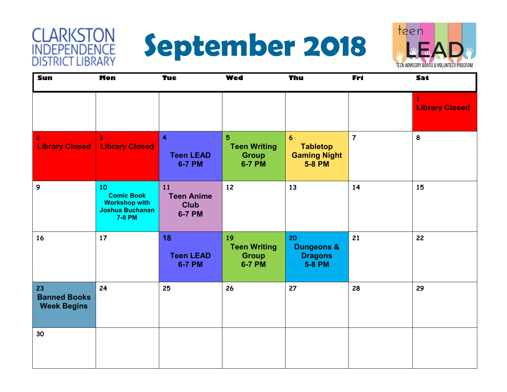#### **CLARKSTON**<br>INDEPENDENCE **DISTRICT LIBRARY**





| Sun                                             | <b>Mon</b>                                                                                 | <b>Tue</b>                                                   | <b>Wed</b>                                                      | Thu                                                                         | Fri            | Sat                        |
|-------------------------------------------------|--------------------------------------------------------------------------------------------|--------------------------------------------------------------|-----------------------------------------------------------------|-----------------------------------------------------------------------------|----------------|----------------------------|
|                                                 |                                                                                            |                                                              |                                                                 |                                                                             |                | 1<br><b>Library Closed</b> |
| $\overline{2}$<br><b>Library Closed</b>         | $\overline{\mathbf{3}}$<br><b>Library Closed</b>                                           | $\overline{\mathbf{4}}$<br><b>Teen LEAD</b><br><b>6-7 PM</b> | $5\phantom{1}$<br><b>Teen Writing</b><br><b>Group</b><br>6-7 PM | $\boldsymbol{6}$<br><b>Tabletop</b><br><b>Gaming Night</b><br><b>5-8 PM</b> | $\overline{7}$ | 8                          |
| 9                                               | 10<br><b>Comic Book</b><br><b>Workshop with</b><br><b>Joshua Buchanan</b><br><b>7-8 PM</b> | 11<br><b>Teen Anime</b><br><b>Club</b><br>6-7 PM             | 12                                                              | 13                                                                          | 14             | 15                         |
| 16                                              | 17                                                                                         | 18<br><b>Teen LEAD</b><br><b>6-7 PM</b>                      | 19<br><b>Teen Writing</b><br><b>Group</b><br>6-7 PM             | 20<br><b>Dungeons &amp;</b><br><b>Dragons</b><br><b>5-8 PM</b>              | 21             | 22                         |
| 23<br><b>Banned Books</b><br><b>Week Begins</b> | 24                                                                                         | 25                                                           | 26                                                              | 27                                                                          | 28             | 29                         |
| 30                                              |                                                                                            |                                                              |                                                                 |                                                                             |                |                            |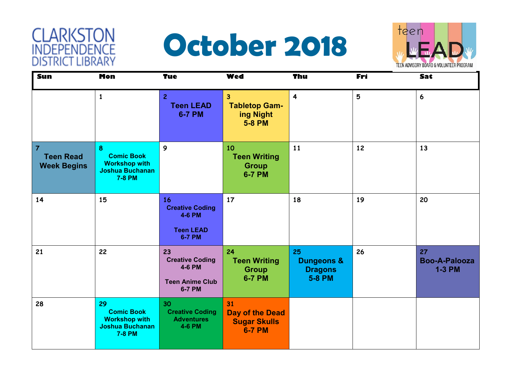#### **CLARKSTON**<br>INDEPENDENCE **DISTRICT LIBRARY**

### **October 2018**



| Sun                                                      | <b>Mon</b>                                                                                 | <b>Tue</b>                                                                        | <b>Wed</b>                                                           | <b>Thu</b>                                                     | Fri | Sat                                         |
|----------------------------------------------------------|--------------------------------------------------------------------------------------------|-----------------------------------------------------------------------------------|----------------------------------------------------------------------|----------------------------------------------------------------|-----|---------------------------------------------|
|                                                          | $\mathbf{1}$                                                                               | $\overline{2}$<br><b>Teen LEAD</b><br><b>6-7 PM</b>                               | $\overline{3}$<br><b>Tabletop Gam-</b><br>ing Night<br><b>5-8 PM</b> | $\overline{\mathbf{4}}$                                        | 5   | 6                                           |
| $\overline{7}$<br><b>Teen Read</b><br><b>Week Begins</b> | 8<br><b>Comic Book</b><br><b>Workshop with</b><br><b>Joshua Buchanan</b><br>7-8 PM         | 9                                                                                 | 10<br><b>Teen Writing</b><br><b>Group</b><br><b>6-7 PM</b>           | 11                                                             | 12  | 13                                          |
| 14                                                       | 15                                                                                         | 16<br><b>Creative Coding</b><br>4-6 PM<br><b>Teen LEAD</b><br><b>6-7 PM</b>       | 17                                                                   | 18                                                             | 19  | 20                                          |
| 21                                                       | 22                                                                                         | 23<br><b>Creative Coding</b><br><b>4-6 PM</b><br><b>Teen Anime Club</b><br>6-7 PM | 24<br><b>Teen Writing</b><br><b>Group</b><br><b>6-7 PM</b>           | 25<br><b>Dungeons &amp;</b><br><b>Dragons</b><br><b>5-8 PM</b> | 26  | 27<br><b>Boo-A-Palooza</b><br><b>1-3 PM</b> |
| 28                                                       | 29<br><b>Comic Book</b><br><b>Workshop with</b><br><b>Joshua Buchanan</b><br><b>7-8 PM</b> | 30<br><b>Creative Coding</b><br><b>Adventures</b><br>4-6 PM                       | 31<br><b>Day of the Dead</b><br><b>Sugar Skulls</b><br><b>6-7 PM</b> |                                                                |     |                                             |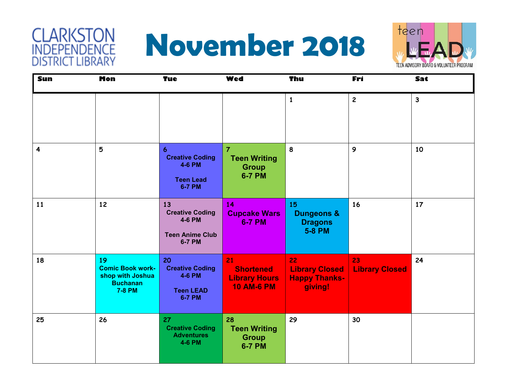#### **CLARKSTON**<br>INDEPENDENCE **DISTRICT LIBRARY**

# **November 2018**



| Sun                     | <b>Mon</b>                                                                            | <b>Tue</b>                                                                 | <b>Wed</b>                                                             | Thu                                                                   | Fri                         | Sat          |
|-------------------------|---------------------------------------------------------------------------------------|----------------------------------------------------------------------------|------------------------------------------------------------------------|-----------------------------------------------------------------------|-----------------------------|--------------|
|                         |                                                                                       |                                                                            |                                                                        | $\mathbf{1}$                                                          | $\overline{2}$              | $\mathbf{3}$ |
| $\overline{\mathbf{4}}$ | 5                                                                                     | 6<br><b>Creative Coding</b><br>4-6 PM<br><b>Teen Lead</b><br>6-7 PM        | $\overline{7}$<br><b>Teen Writing</b><br><b>Group</b><br><b>6-7 PM</b> | 8                                                                     | $\mathbf{9}$                | 10           |
| 11                      | 12                                                                                    | 13<br><b>Creative Coding</b><br>4-6 PM<br><b>Teen Anime Club</b><br>6-7 PM | 14<br><b>Cupcake Wars</b><br><b>6-7 PM</b>                             | <b>15</b><br><b>Dungeons &amp;</b><br><b>Dragons</b><br><b>5-8 PM</b> | 16                          | 17           |
| 18                      | 19<br><b>Comic Book work-</b><br>shop with Joshua<br><b>Buchanan</b><br><b>7-8 PM</b> | 20<br><b>Creative Coding</b><br>4-6 PM<br><b>Teen LEAD</b><br>6-7 PM       | 21<br><b>Shortened</b><br><b>Library Hours</b><br><b>10 AM-6 PM</b>    | 22<br><b>Library Closed</b><br><b>Happy Thanks-</b><br>giving!        | 23<br><b>Library Closed</b> | 24           |
| 25                      | 26                                                                                    | 27<br><b>Creative Coding</b><br><b>Adventures</b><br>4-6 PM                | 28<br><b>Teen Writing</b><br><b>Group</b><br><b>6-7 PM</b>             | 29                                                                    | 30                          |              |